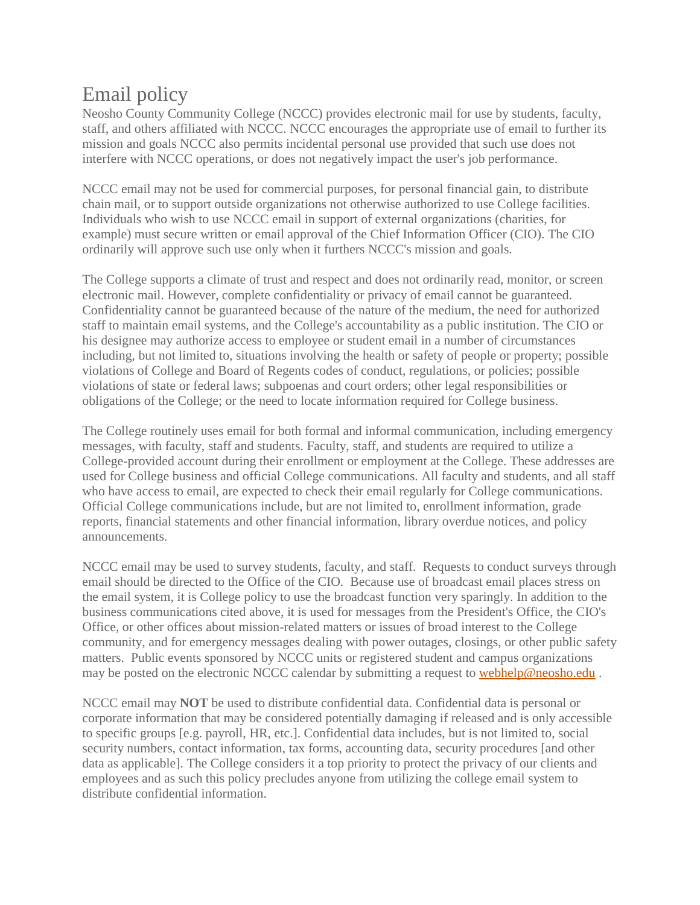## Email policy

Neosho County Community College (NCCC) provides electronic mail for use by students, faculty, staff, and others affiliated with NCCC. NCCC encourages the appropriate use of email to further its mission and goals NCCC also permits incidental personal use provided that such use does not interfere with NCCC operations, or does not negatively impact the user's job performance.

NCCC email may not be used for commercial purposes, for personal financial gain, to distribute chain mail, or to support outside organizations not otherwise authorized to use College facilities. Individuals who wish to use NCCC email in support of external organizations (charities, for example) must secure written or email approval of the Chief Information Officer (CIO). The CIO ordinarily will approve such use only when it furthers NCCC's mission and goals.

The College supports a climate of trust and respect and does not ordinarily read, monitor, or screen electronic mail. However, complete confidentiality or privacy of email cannot be guaranteed. Confidentiality cannot be guaranteed because of the nature of the medium, the need for authorized staff to maintain email systems, and the College's accountability as a public institution. The CIO or his designee may authorize access to employee or student email in a number of circumstances including, but not limited to, situations involving the health or safety of people or property; possible violations of College and Board of Regents codes of conduct, regulations, or policies; possible violations of state or federal laws; subpoenas and court orders; other legal responsibilities or obligations of the College; or the need to locate information required for College business.

The College routinely uses email for both formal and informal communication, including emergency messages, with faculty, staff and students. Faculty, staff, and students are required to utilize a College-provided account during their enrollment or employment at the College. These addresses are used for College business and official College communications. All faculty and students, and all staff who have access to email, are expected to check their email regularly for College communications. Official College communications include, but are not limited to, enrollment information, grade reports, financial statements and other financial information, library overdue notices, and policy announcements.

NCCC email may be used to survey students, faculty, and staff. Requests to conduct surveys through email should be directed to the Office of the CIO. Because use of broadcast email places stress on the email system, it is College policy to use the broadcast function very sparingly. In addition to the business communications cited above, it is used for messages from the President's Office, the CIO's Office, or other offices about mission-related matters or issues of broad interest to the College community, and for emergency messages dealing with power outages, closings, or other public safety matters. Public events sponsored by NCCC units or registered student and campus organizations may be posted on the electronic NCCC calendar by submitting a request to [webhelp@neosho.edu](mailto:webhelp@neosho.edu).

NCCC email may **NOT** be used to distribute confidential data. Confidential data is personal or corporate information that may be considered potentially damaging if released and is only accessible to specific groups [e.g. payroll, HR, etc.]. Confidential data includes, but is not limited to, social security numbers, contact information, tax forms, accounting data, security procedures [and other data as applicable]. The College considers it a top priority to protect the privacy of our clients and employees and as such this policy precludes anyone from utilizing the college email system to distribute confidential information.